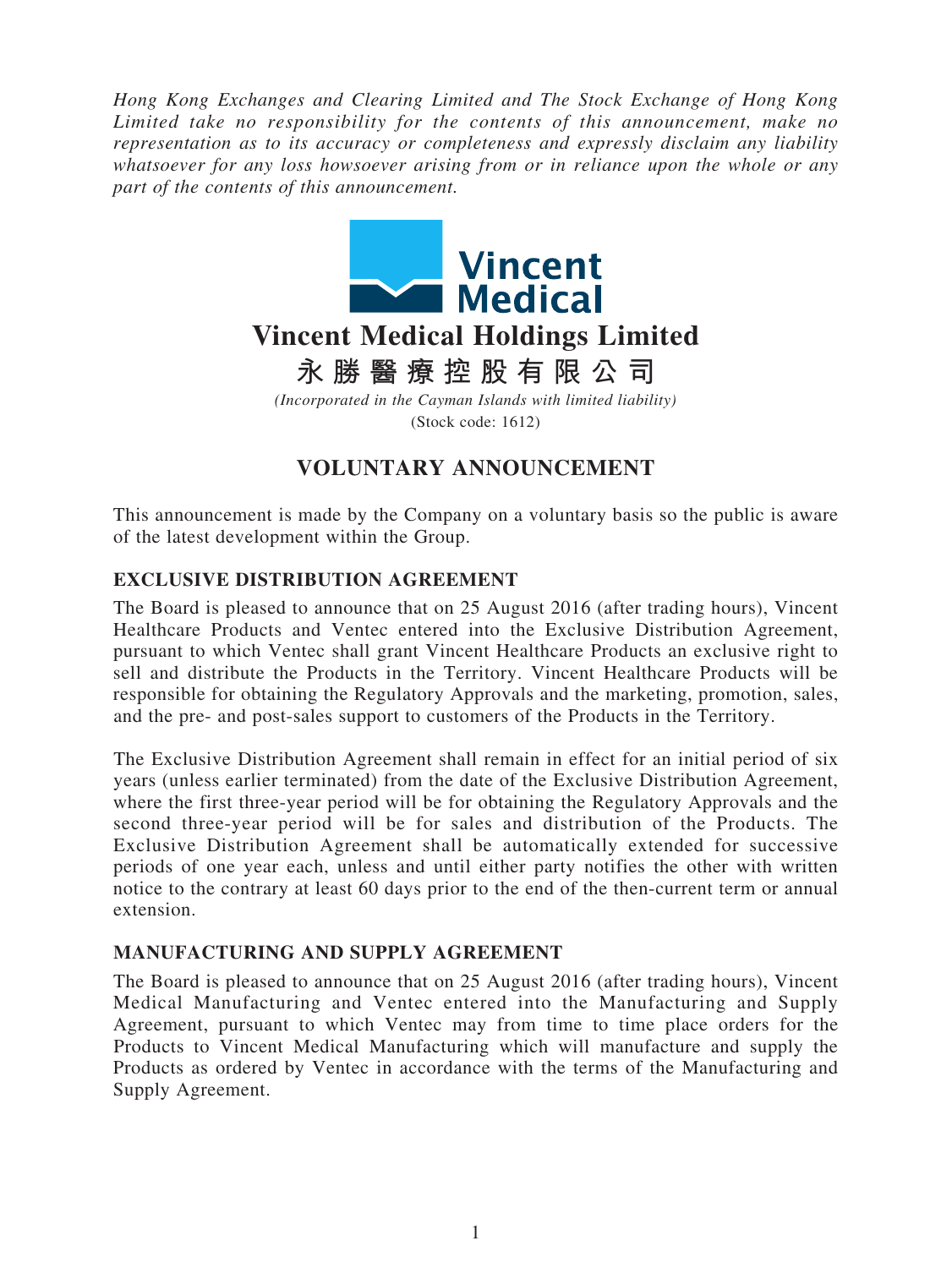*Hong Kong Exchanges and Clearing Limited and The Stock Exchange of Hong Kong Limited take no responsibility for the contents of this announcement, make no representation as to its accuracy or completeness and expressly disclaim any liability whatsoever for any loss howsoever arising from or in reliance upon the whole or any part of the contents of this announcement.*



**永勝醫療控股有限公司**

*(Incorporated in the Cayman Islands with limited liability)* (Stock code: 1612)

# **VOLUNTARY ANNOUNCEMENT**

This announcement is made by the Company on a voluntary basis so the public is aware of the latest development within the Group.

## **EXCLUSIVE DISTRIBUTION AGREEMENT**

The Board is pleased to announce that on 25 August 2016 (after trading hours), Vincent Healthcare Products and Ventec entered into the Exclusive Distribution Agreement, pursuant to which Ventec shall grant Vincent Healthcare Products an exclusive right to sell and distribute the Products in the Territory. Vincent Healthcare Products will be responsible for obtaining the Regulatory Approvals and the marketing, promotion, sales, and the pre- and post-sales support to customers of the Products in the Territory.

The Exclusive Distribution Agreement shall remain in effect for an initial period of six years (unless earlier terminated) from the date of the Exclusive Distribution Agreement, where the first three-year period will be for obtaining the Regulatory Approvals and the second three-year period will be for sales and distribution of the Products. The Exclusive Distribution Agreement shall be automatically extended for successive periods of one year each, unless and until either party notifies the other with written notice to the contrary at least 60 days prior to the end of the then-current term or annual extension.

### **MANUFACTURING AND SUPPLY AGREEMENT**

The Board is pleased to announce that on 25 August 2016 (after trading hours), Vincent Medical Manufacturing and Ventec entered into the Manufacturing and Supply Agreement, pursuant to which Ventec may from time to time place orders for the Products to Vincent Medical Manufacturing which will manufacture and supply the Products as ordered by Ventec in accordance with the terms of the Manufacturing and Supply Agreement.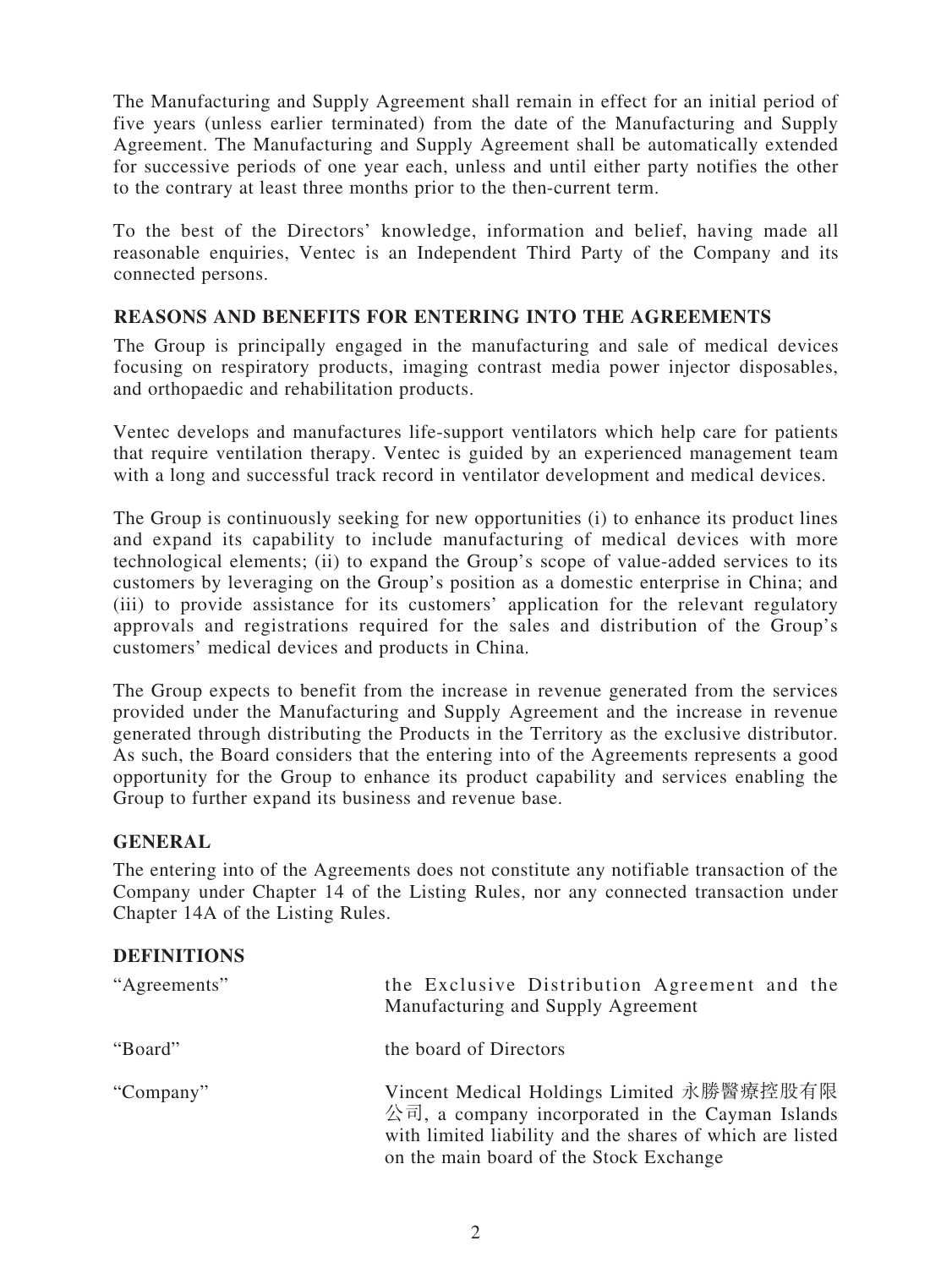The Manufacturing and Supply Agreement shall remain in effect for an initial period of five years (unless earlier terminated) from the date of the Manufacturing and Supply Agreement. The Manufacturing and Supply Agreement shall be automatically extended for successive periods of one year each, unless and until either party notifies the other to the contrary at least three months prior to the then-current term.

To the best of the Directors' knowledge, information and belief, having made all reasonable enquiries, Ventec is an Independent Third Party of the Company and its connected persons.

#### **REASONS AND BENEFITS FOR ENTERING INTO THE AGREEMENTS**

The Group is principally engaged in the manufacturing and sale of medical devices focusing on respiratory products, imaging contrast media power injector disposables, and orthopaedic and rehabilitation products.

Ventec develops and manufactures life-support ventilators which help care for patients that require ventilation therapy. Ventec is guided by an experienced management team with a long and successful track record in ventilator development and medical devices.

The Group is continuously seeking for new opportunities (i) to enhance its product lines and expand its capability to include manufacturing of medical devices with more technological elements; (ii) to expand the Group's scope of value-added services to its customers by leveraging on the Group's position as a domestic enterprise in China; and (iii) to provide assistance for its customers' application for the relevant regulatory approvals and registrations required for the sales and distribution of the Group's customers' medical devices and products in China.

The Group expects to benefit from the increase in revenue generated from the services provided under the Manufacturing and Supply Agreement and the increase in revenue generated through distributing the Products in the Territory as the exclusive distributor. As such, the Board considers that the entering into of the Agreements represents a good opportunity for the Group to enhance its product capability and services enabling the Group to further expand its business and revenue base.

### **GENERAL**

The entering into of the Agreements does not constitute any notifiable transaction of the Company under Chapter 14 of the Listing Rules, nor any connected transaction under Chapter 14A of the Listing Rules.

#### **DEFINITIONS**

| "Agreements" | the Exclusive Distribution Agreement and the<br>Manufacturing and Supply Agreement                                                                                                                    |
|--------------|-------------------------------------------------------------------------------------------------------------------------------------------------------------------------------------------------------|
| "Board"      | the board of Directors                                                                                                                                                                                |
| "Company"    | Vincent Medical Holdings Limited 永勝醫療控股有限<br>公司, a company incorporated in the Cayman Islands<br>with limited liability and the shares of which are listed<br>on the main board of the Stock Exchange |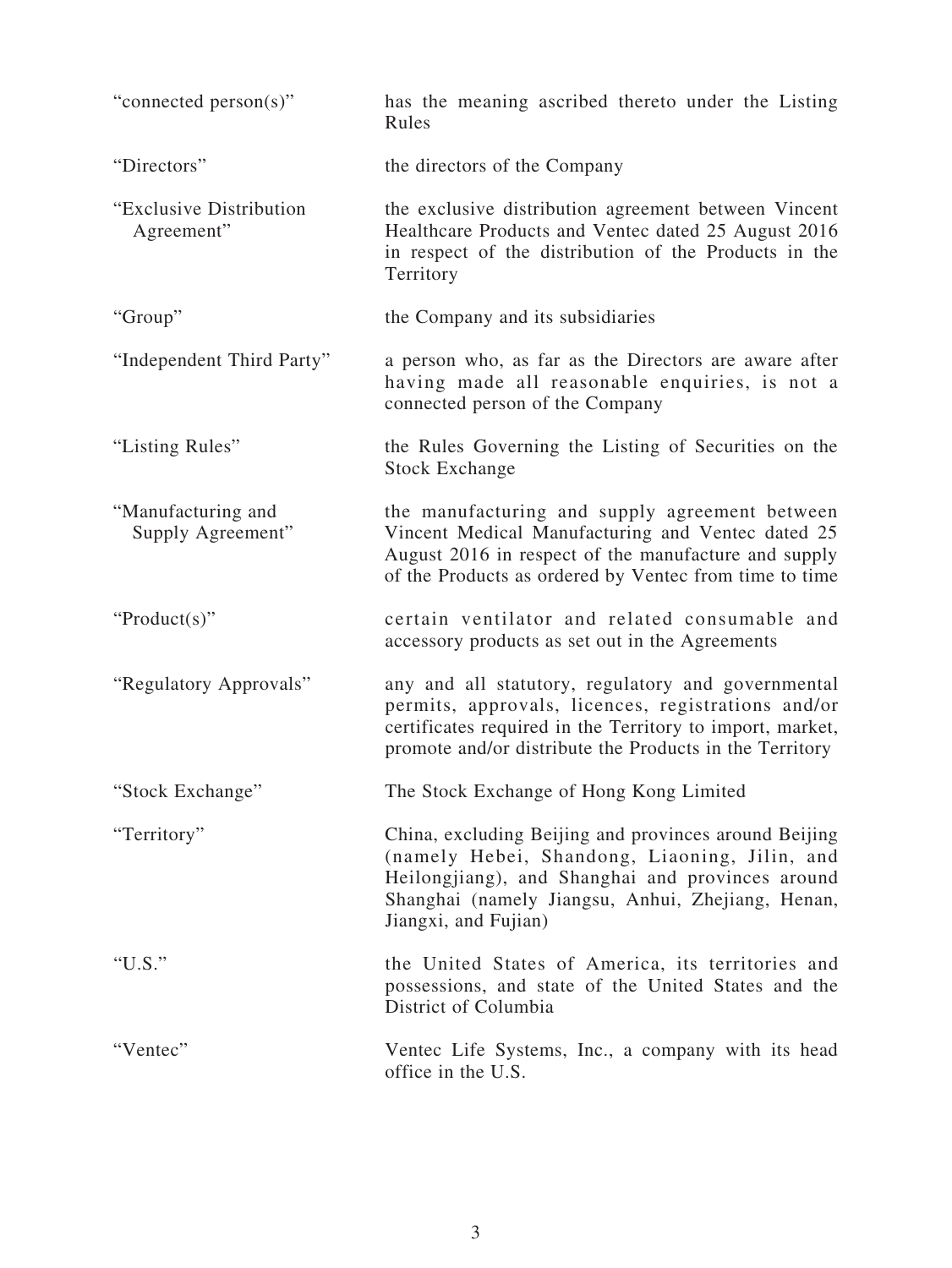| "connected person(s)"                   | has the meaning ascribed thereto under the Listing<br>Rules                                                                                                                                                                             |
|-----------------------------------------|-----------------------------------------------------------------------------------------------------------------------------------------------------------------------------------------------------------------------------------------|
| "Directors"                             | the directors of the Company                                                                                                                                                                                                            |
| "Exclusive Distribution<br>Agreement"   | the exclusive distribution agreement between Vincent<br>Healthcare Products and Ventec dated 25 August 2016<br>in respect of the distribution of the Products in the<br>Territory                                                       |
| "Group"                                 | the Company and its subsidiaries                                                                                                                                                                                                        |
| "Independent Third Party"               | a person who, as far as the Directors are aware after<br>having made all reasonable enquiries, is not a<br>connected person of the Company                                                                                              |
| "Listing Rules"                         | the Rules Governing the Listing of Securities on the<br><b>Stock Exchange</b>                                                                                                                                                           |
| "Manufacturing and<br>Supply Agreement" | the manufacturing and supply agreement between<br>Vincent Medical Manufacturing and Ventec dated 25<br>August 2016 in respect of the manufacture and supply<br>of the Products as ordered by Ventec from time to time                   |
| " $Product(s)$ "                        | certain ventilator and related consumable and<br>accessory products as set out in the Agreements                                                                                                                                        |
| "Regulatory Approvals"                  | any and all statutory, regulatory and governmental<br>permits, approvals, licences, registrations and/or<br>certificates required in the Territory to import, market,<br>promote and/or distribute the Products in the Territory        |
| "Stock Exchange"                        | The Stock Exchange of Hong Kong Limited                                                                                                                                                                                                 |
| "Territory"                             | China, excluding Beijing and provinces around Beijing<br>(namely Hebei, Shandong, Liaoning, Jilin, and<br>Heilongjiang), and Shanghai and provinces around<br>Shanghai (namely Jiangsu, Anhui, Zhejiang, Henan,<br>Jiangxi, and Fujian) |
| " $U.S."$                               | the United States of America, its territories and<br>possessions, and state of the United States and the<br>District of Columbia                                                                                                        |
| "Ventec"                                | Ventec Life Systems, Inc., a company with its head<br>office in the U.S.                                                                                                                                                                |